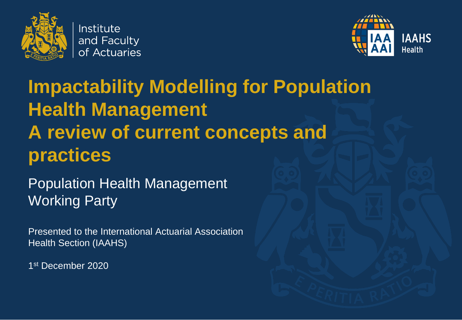

Institute and Faculty of Actuaries



# **Impactability Modelling for Population Health Management A review of current concepts and practices**

Population Health Management Working Party

Presented to the International Actuarial Association Health Section (IAAHS)

1 st December 2020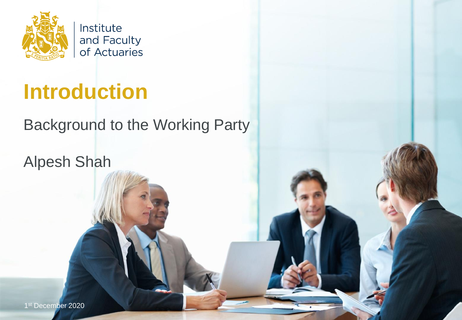

Institute and Faculty of Actuaries

# **Introduction**

#### Background to the Working Party

Alpesh Shah

1st December 2020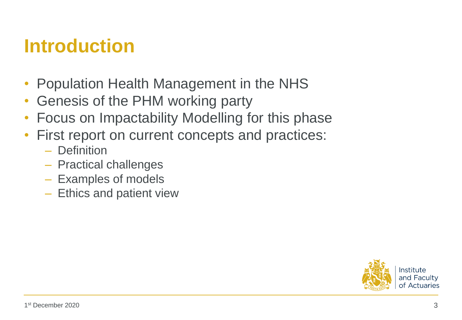### **Introduction**

- Population Health Management in the NHS
- Genesis of the PHM working party
- Focus on Impactability Modelling for this phase
- First report on current concepts and practices:
	- Definition
	- Practical challenges
	- Examples of models
	- Ethics and patient view

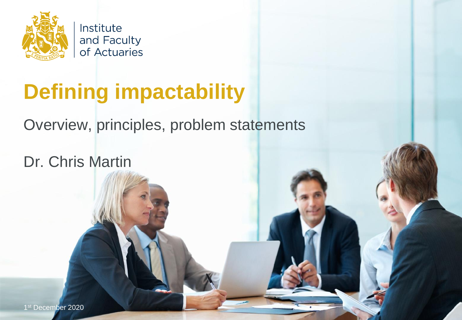

Institute and Faculty of Actuaries

# **Defining impactability**

Overview, principles, problem statements

Dr. Chris Martin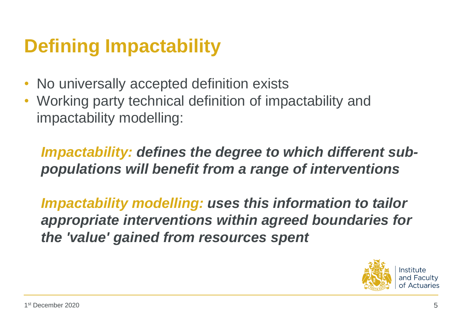# **Defining Impactability**

- No universally accepted definition exists
- Working party technical definition of impactability and impactability modelling:

*Impactability: defines the degree to which different subpopulations will benefit from a range of interventions*

*Impactability modelling: uses this information to tailor appropriate interventions within agreed boundaries for the 'value' gained from resources spent* 

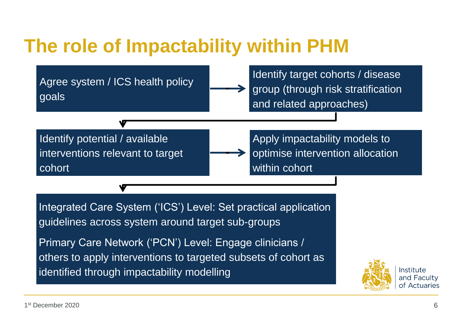## **The role of Impactability within PHM**

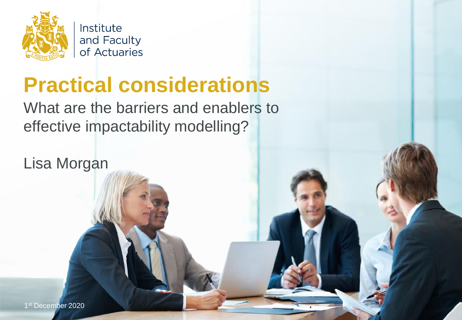

and Faculty of Actuaries

# **Practical considerations**

What are the barriers and enablers to effective impactability modelling?

Lisa Morgan

1st December 2020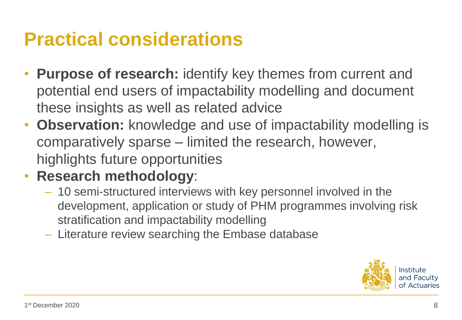## **Practical considerations**

- **Purpose of research:** identify key themes from current and potential end users of impactability modelling and document these insights as well as related advice
- **Observation:** knowledge and use of impactability modelling is comparatively sparse – limited the research, however, highlights future opportunities
- **Research methodology**:
	- 10 semi-structured interviews with key personnel involved in the development, application or study of PHM programmes involving risk stratification and impactability modelling
	- Literature review searching the Embase database

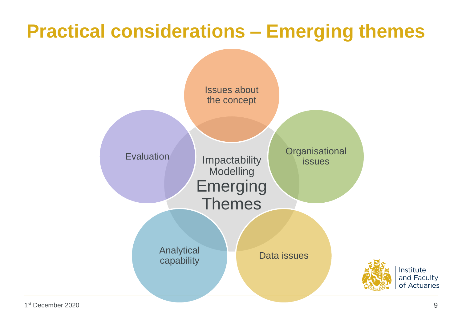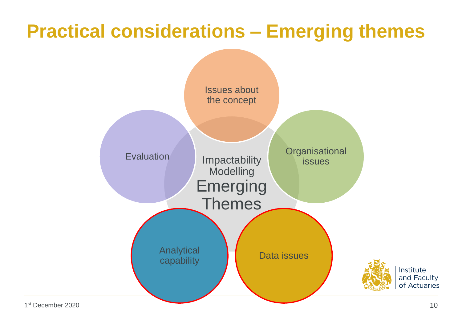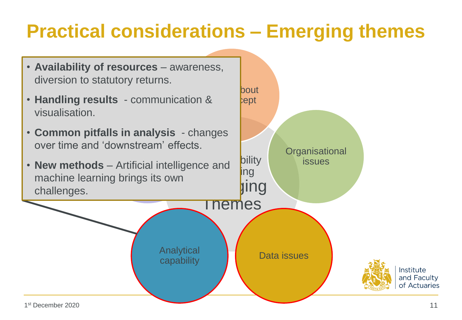- **Availability of resources**  awareness, diversion to statutory returns.
- **Handling results**  communication & visualisation.
- **Common pitfalls in analysis** changes over time and 'downstream' effects.
- **New methods** Artificial intelligence and machine learning brings its own challenges.

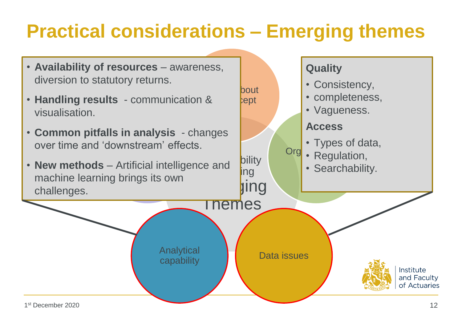**bout**  $e$ ept

**Quality**

**Access**

• Consistency,

• Vagueness.

• completeness,

• Types of data,

- **Availability of resources**  awareness, diversion to statutory returns.
- **Handling results**  communication & visualisation.
- **Common pitfalls in analysis** changes over time and 'downstream' effects.
- **New methods** Artificial intelligence and machine learning brings its own challenges.

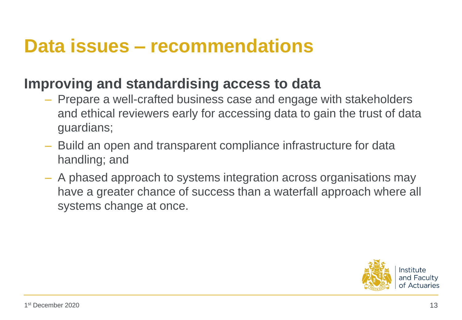#### **Data issues – recommendations**

#### **Improving and standardising access to data**

- Prepare a well-crafted business case and engage with stakeholders and ethical reviewers early for accessing data to gain the trust of data guardians;
- Build an open and transparent compliance infrastructure for data handling; and
- A phased approach to systems integration across organisations may have a greater chance of success than a waterfall approach where all systems change at once.

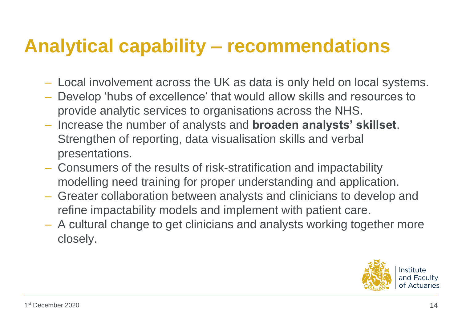### **Analytical capability – recommendations**

- Local involvement across the UK as data is only held on local systems.
- Develop 'hubs of excellence' that would allow skills and resources to provide analytic services to organisations across the NHS.
- Increase the number of analysts and **broaden analysts' skillset**. Strengthen of reporting, data visualisation skills and verbal presentations.
- Consumers of the results of risk-stratification and impactability modelling need training for proper understanding and application.
- Greater collaboration between analysts and clinicians to develop and refine impactability models and implement with patient care.
- A cultural change to get clinicians and analysts working together more closely.

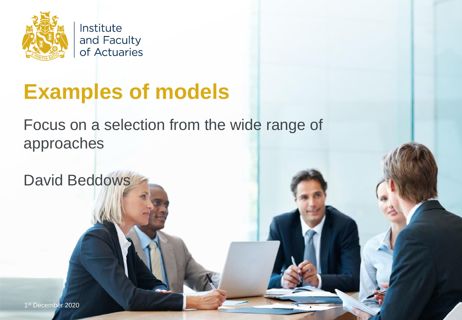

Institute and Faculty of Actuaries

# **Examples of models**

Focus on a selection from the wide range of approaches

David Beddows

1 st December 2020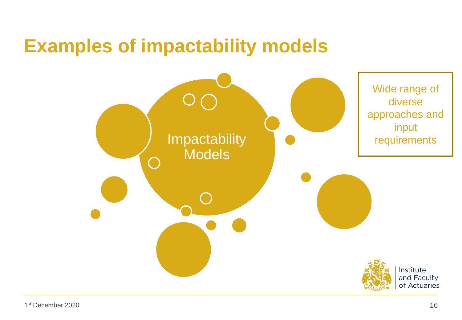#### **Examples of impactability models**

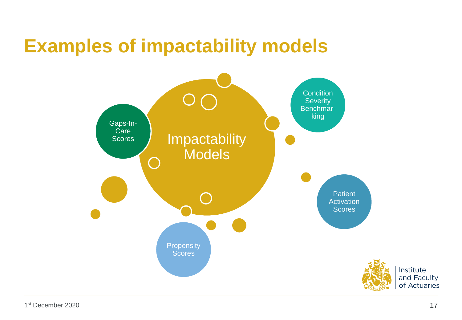### **Examples of impactability models**

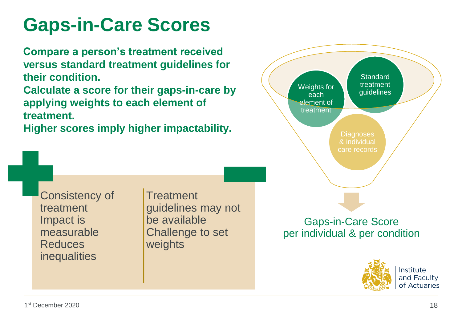# **Gaps-in-Care Scores**

**Compare a person's treatment received versus standard treatment guidelines for their condition.** 

**Calculate a score for their gaps-in-care by applying weights to each element of treatment.** 

**Higher scores imply higher impactability.**

**Treatment** 

be available

weights

guidelines may not

Challenge to set





Consistency of

treatment

Impact is

**Reduces** 

measurable

inequalities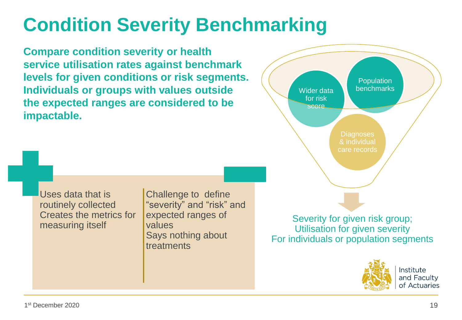# **Condition Severity Benchmarking**

**Compare condition severity or health service utilisation rates against benchmark levels for given conditions or risk segments. Individuals or groups with values outside the expected ranges are considered to be impactable.**





Institute and Faculty of Actuaries

Uses data that is routinely collected Creates the metrics for measuring itself

Challenge to define "severity" and "risk" and expected ranges of values Says nothing about treatments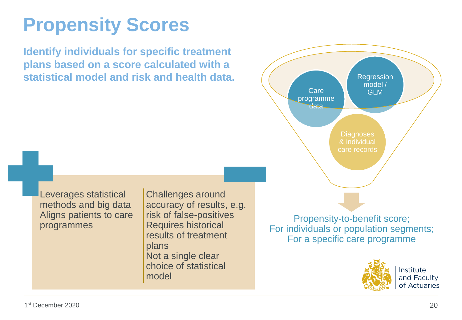# **Propensity Scores**

**Identify individuals for specific treatment plans based on a score calculated with a statistical model and risk and health data.**





Institute and Faculty of Actuaries

Leverages statistical methods and big data Aligns patients to care programmes

Challenges around accuracy of results, e.g. risk of false-positives Requires historical results of treatment plans Not a single clear choice of statistical model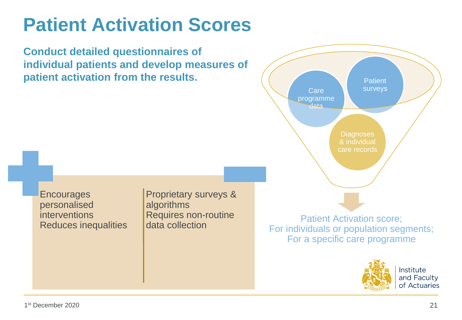# **Patient Activation Scores**

**Conduct detailed questionnaires of individual patients and develop measures of patient activation from the results.**



**Encourages** personalised interventions Reduces inequalities Proprietary surveys & algorithms Requires non-routine data collection

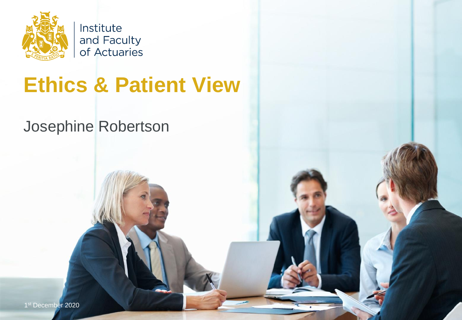

Institute and Faculty of Actuaries

# **Ethics & Patient View**

#### Josephine Robertson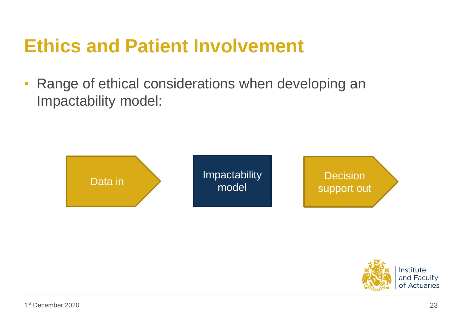### **Ethics and Patient Involvement**

• Range of ethical considerations when developing an Impactability model:



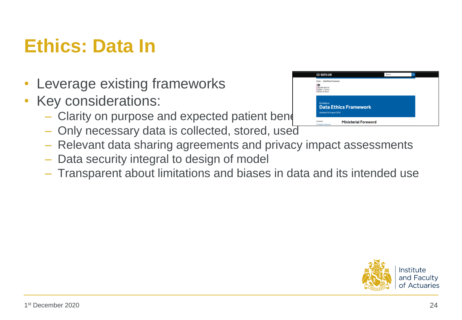# **Ethics: Data In**

- Leverage existing frameworks
- Key considerations:
	- $-$  Clarity on purpose and expected patient beneform
	- Only necessary data is collected, stored, used
	- Relevant data sharing agreements and privacy impact assessments
	- Data security integral to design of model
	- Transparent about limitations and biases in data and its intended use



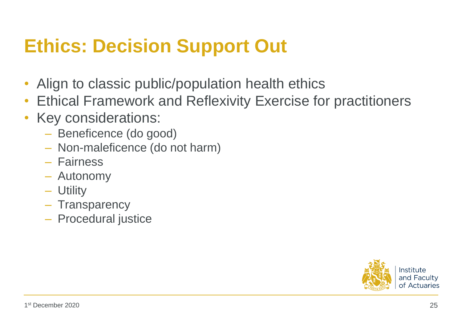## **Ethics: Decision Support Out**

- Align to classic public/population health ethics
- Ethical Framework and Reflexivity Exercise for practitioners
- Key considerations:
	- Beneficence (do good)
	- Non-maleficence (do not harm)
	- Fairness
	- Autonomy
	- Utility
	- Transparency
	- Procedural justice

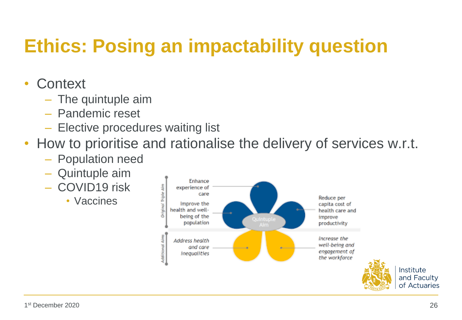## **Ethics: Posing an impactability question**

#### **Context**

- The quintuple aim
- Pandemic reset
- Elective procedures waiting list
- How to prioritise and rationalise the delivery of services w.r.t.
	- Population need
	- Quintuple aim
	- COVID19 risk
		- Vaccines

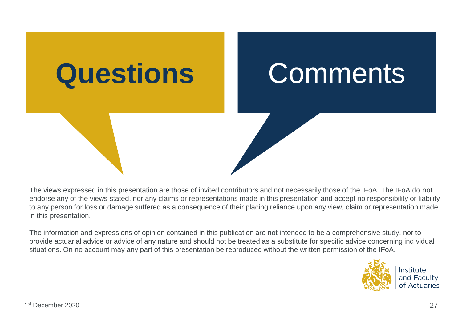

The views expressed in this presentation are those of invited contributors and not necessarily those of the IFoA. The IFoA do not endorse any of the views stated, nor any claims or representations made in this presentation and accept no responsibility or liability to any person for loss or damage suffered as a consequence of their placing reliance upon any view, claim or representation made in this presentation.

The information and expressions of opinion contained in this publication are not intended to be a comprehensive study, nor to provide actuarial advice or advice of any nature and should not be treated as a substitute for specific advice concerning individual situations. On no account may any part of this presentation be reproduced without the written permission of the IFoA.